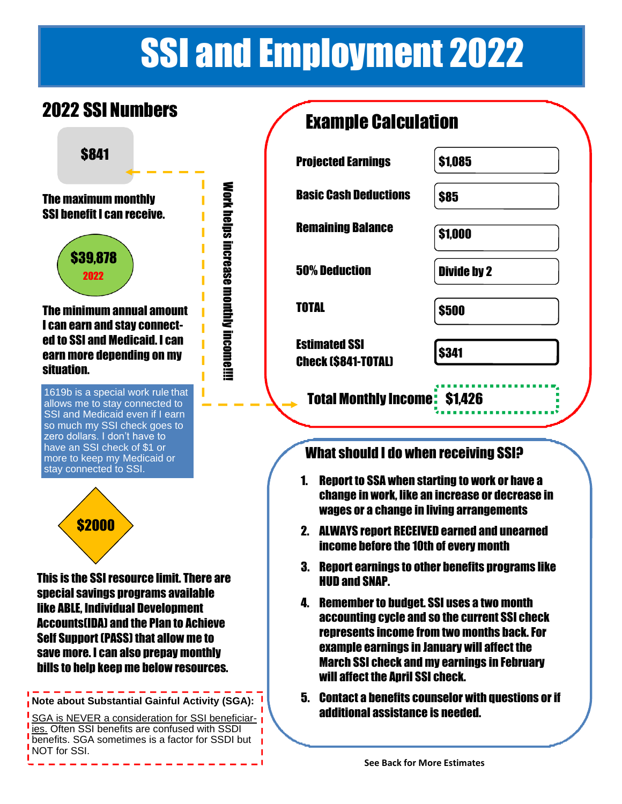# SSI and Employment 2022

]\

### 2022 SSI Numbers **Example Calculation**



\$841 **Projected Earnings** \$1,085 **Work helps increase monthly income!!!!** Work helps increase monthly income!!!!The maximum monthly SSI benefit I can receive. \$39,878 2022 The minimum annual amount I can earn and stay connected to SSI and Medicaid. I can earn more depending on my situation. 1619b is a special work rule that allows me to stay connected to SSI and Medicaid even if I earn so much my SSI check goes to zero dollars. I don't have to have an SSI check of \$1 or more to keep my Medicaid or stay connected to SSI. \$2000 This is the SSI resource limit. There are special savings programs available like ABLE, Individual Development Accounts(IDA) and the Plan to Achieve Self Support (PASS) that allow me to save more. I can also prepay monthly bills to help keep me below resources. **Note about Substantial Gainful Activity (SGA):** SGA is NEVER a consideration for SSI beneficiaries. Often SSI benefits are confused with SSDI

benefits. SGA sometimes is a factor for SSDI but

NOT for SSI.

| MUNIPIV VUIVUIU                      |  |  |
|--------------------------------------|--|--|
| \$1,085                              |  |  |
| \$85                                 |  |  |
| \$1,000                              |  |  |
| <b>Divide by 2</b>                   |  |  |
| \$500                                |  |  |
| \$341                                |  |  |
| <b>Total Monthly Income: \$1,426</b> |  |  |
|                                      |  |  |

### What should I do when receiving SSI?

- 1. Report to SSA when starting to work or have a change in work, like an increase or decrease in wages or a change in living arrangements
- 2. ALWAYS report RECEIVED earned and unearned income before the 10th of every month
- 3. Report earnings to other benefits programs like HUD and SNAP.
- 4. Remember to budget. SSI uses a two month accounting cycle and so the current SSI check represents income from two months back. For example earnings in January will affect the March SSI check and my earnings in February will affect the Anril SSI check.
- 5. Contact a benefits counselor with questions or if additional assistance is needed.